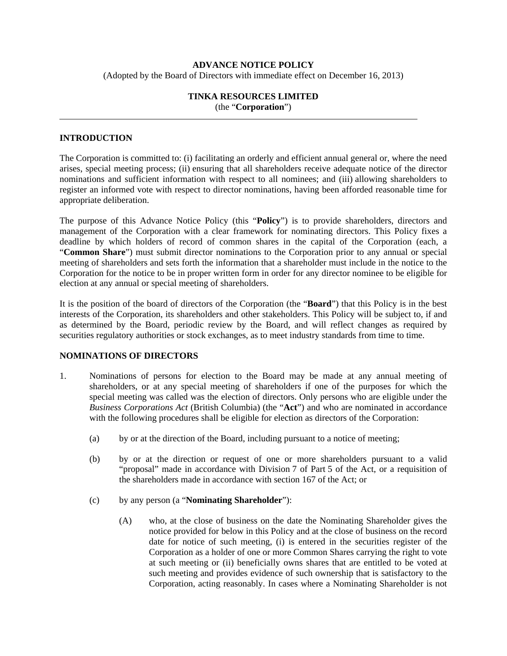# **ADVANCE NOTICE POLICY**  (Adopted by the Board of Directors with immediate effect on December 16, 2013)

### **TINKA RESOURCES LIMITED**  (the "**Corporation**")

### **INTRODUCTION**

The Corporation is committed to: (i) facilitating an orderly and efficient annual general or, where the need arises, special meeting process; (ii) ensuring that all shareholders receive adequate notice of the director nominations and sufficient information with respect to all nominees; and (iii) allowing shareholders to register an informed vote with respect to director nominations, having been afforded reasonable time for appropriate deliberation.

The purpose of this Advance Notice Policy (this "**Policy**") is to provide shareholders, directors and management of the Corporation with a clear framework for nominating directors. This Policy fixes a deadline by which holders of record of common shares in the capital of the Corporation (each, a "**Common Share**") must submit director nominations to the Corporation prior to any annual or special meeting of shareholders and sets forth the information that a shareholder must include in the notice to the Corporation for the notice to be in proper written form in order for any director nominee to be eligible for election at any annual or special meeting of shareholders.

It is the position of the board of directors of the Corporation (the "**Board**") that this Policy is in the best interests of the Corporation, its shareholders and other stakeholders. This Policy will be subject to, if and as determined by the Board, periodic review by the Board, and will reflect changes as required by securities regulatory authorities or stock exchanges, as to meet industry standards from time to time.

### **NOMINATIONS OF DIRECTORS**

- 1. Nominations of persons for election to the Board may be made at any annual meeting of shareholders, or at any special meeting of shareholders if one of the purposes for which the special meeting was called was the election of directors. Only persons who are eligible under the *Business Corporations Act* (British Columbia) (the "**Act**") and who are nominated in accordance with the following procedures shall be eligible for election as directors of the Corporation:
	- (a) by or at the direction of the Board, including pursuant to a notice of meeting;
	- (b) by or at the direction or request of one or more shareholders pursuant to a valid "proposal" made in accordance with Division 7 of Part 5 of the Act, or a requisition of the shareholders made in accordance with section 167 of the Act; or
	- (c) by any person (a "**Nominating Shareholder**"):
		- (A) who, at the close of business on the date the Nominating Shareholder gives the notice provided for below in this Policy and at the close of business on the record date for notice of such meeting, (i) is entered in the securities register of the Corporation as a holder of one or more Common Shares carrying the right to vote at such meeting or (ii) beneficially owns shares that are entitled to be voted at such meeting and provides evidence of such ownership that is satisfactory to the Corporation, acting reasonably. In cases where a Nominating Shareholder is not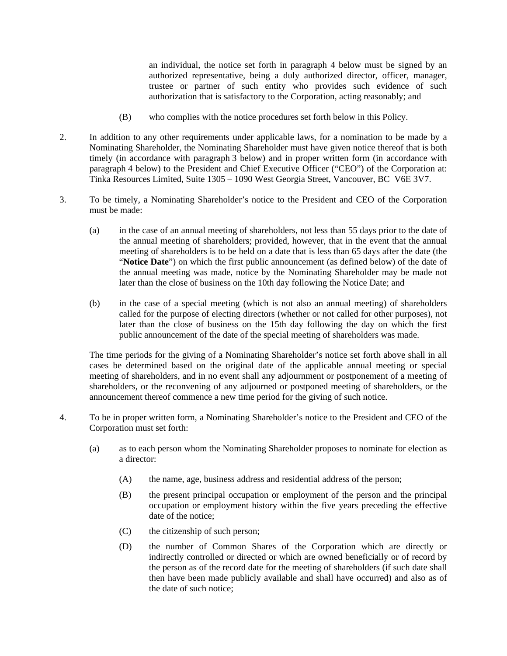an individual, the notice set forth in paragraph 4 below must be signed by an authorized representative, being a duly authorized director, officer, manager, trustee or partner of such entity who provides such evidence of such authorization that is satisfactory to the Corporation, acting reasonably; and

- (B) who complies with the notice procedures set forth below in this Policy.
- 2. In addition to any other requirements under applicable laws, for a nomination to be made by a Nominating Shareholder, the Nominating Shareholder must have given notice thereof that is both timely (in accordance with paragraph 3 below) and in proper written form (in accordance with paragraph 4 below) to the President and Chief Executive Officer ("CEO") of the Corporation at: Tinka Resources Limited, Suite 1305 – 1090 West Georgia Street, Vancouver, BC V6E 3V7.
- 3. To be timely, a Nominating Shareholder's notice to the President and CEO of the Corporation must be made:
	- (a) in the case of an annual meeting of shareholders, not less than 55 days prior to the date of the annual meeting of shareholders; provided, however, that in the event that the annual meeting of shareholders is to be held on a date that is less than 65 days after the date (the "**Notice Date**") on which the first public announcement (as defined below) of the date of the annual meeting was made, notice by the Nominating Shareholder may be made not later than the close of business on the 10th day following the Notice Date; and
	- (b) in the case of a special meeting (which is not also an annual meeting) of shareholders called for the purpose of electing directors (whether or not called for other purposes), not later than the close of business on the 15th day following the day on which the first public announcement of the date of the special meeting of shareholders was made.

The time periods for the giving of a Nominating Shareholder's notice set forth above shall in all cases be determined based on the original date of the applicable annual meeting or special meeting of shareholders, and in no event shall any adjournment or postponement of a meeting of shareholders, or the reconvening of any adjourned or postponed meeting of shareholders, or the announcement thereof commence a new time period for the giving of such notice.

- 4. To be in proper written form, a Nominating Shareholder's notice to the President and CEO of the Corporation must set forth:
	- (a) as to each person whom the Nominating Shareholder proposes to nominate for election as a director:
		- (A) the name, age, business address and residential address of the person;
		- (B) the present principal occupation or employment of the person and the principal occupation or employment history within the five years preceding the effective date of the notice;
		- (C) the citizenship of such person;
		- (D) the number of Common Shares of the Corporation which are directly or indirectly controlled or directed or which are owned beneficially or of record by the person as of the record date for the meeting of shareholders (if such date shall then have been made publicly available and shall have occurred) and also as of the date of such notice;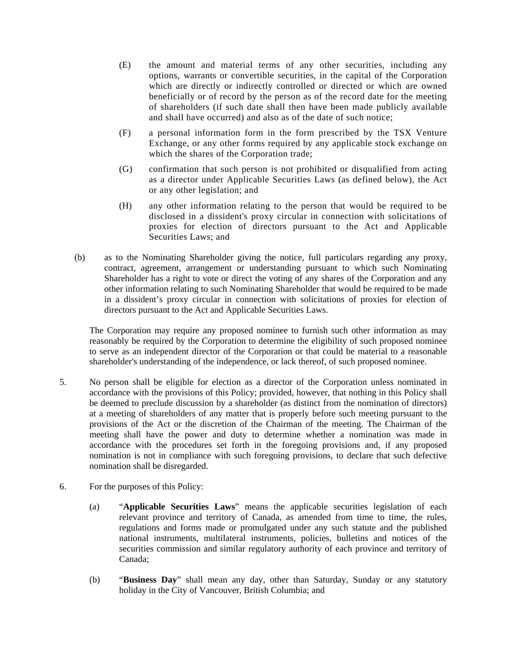- (E) the amount and material terms of any other securities, including any options, warrants or convertible securities, in the capital of the Corporation which are directly or indirectly controlled or directed or which are owned beneficially or of record by the person as of the record date for the meeting of shareholders (if such date shall then have been made publicly available and shall have occurred) and also as of the date of such notice;
- (F) a personal information form in the form prescribed by the TSX Venture Exchange, or any other forms required by any applicable stock exchange on which the shares of the Corporation trade;
- (G) confirmation that such person is not prohibited or disqualified from acting as a director under Applicable Securities Laws (as defined below), the Act or any other legislation; and
- (H) any other information relating to the person that would be required to be disclosed in a dissident's proxy circular in connection with solicitations of proxies for election of directors pursuant to the Act and Applicable Securities Laws; and
- (b) as to the Nominating Shareholder giving the notice, full particulars regarding any proxy, contract, agreement, arrangement or understanding pursuant to which such Nominating Shareholder has a right to vote or direct the voting of any shares of the Corporation and any other information relating to such Nominating Shareholder that would be required to be made in a dissident's proxy circular in connection with solicitations of proxies for election of directors pursuant to the Act and Applicable Securities Laws.

The Corporation may require any proposed nominee to furnish such other information as may reasonably be required by the Corporation to determine the eligibility of such proposed nominee to serve as an independent director of the Corporation or that could be material to a reasonable shareholder's understanding of the independence, or lack thereof, of such proposed nominee.

- 5. No person shall be eligible for election as a director of the Corporation unless nominated in accordance with the provisions of this Policy; provided, however, that nothing in this Policy shall be deemed to preclude discussion by a shareholder (as distinct from the nomination of directors) at a meeting of shareholders of any matter that is properly before such meeting pursuant to the provisions of the Act or the discretion of the Chairman of the meeting. The Chairman of the meeting shall have the power and duty to determine whether a nomination was made in accordance with the procedures set forth in the foregoing provisions and, if any proposed nomination is not in compliance with such foregoing provisions, to declare that such defective nomination shall be disregarded.
- 6. For the purposes of this Policy:
	- (a) "**Applicable Securities Laws**" means the applicable securities legislation of each relevant province and territory of Canada, as amended from time to time, the rules, regulations and forms made or promulgated under any such statute and the published national instruments, multilateral instruments, policies, bulletins and notices of the securities commission and similar regulatory authority of each province and territory of Canada;
	- (b) "**Business Day**" shall mean any day, other than Saturday, Sunday or any statutory holiday in the City of Vancouver, British Columbia; and